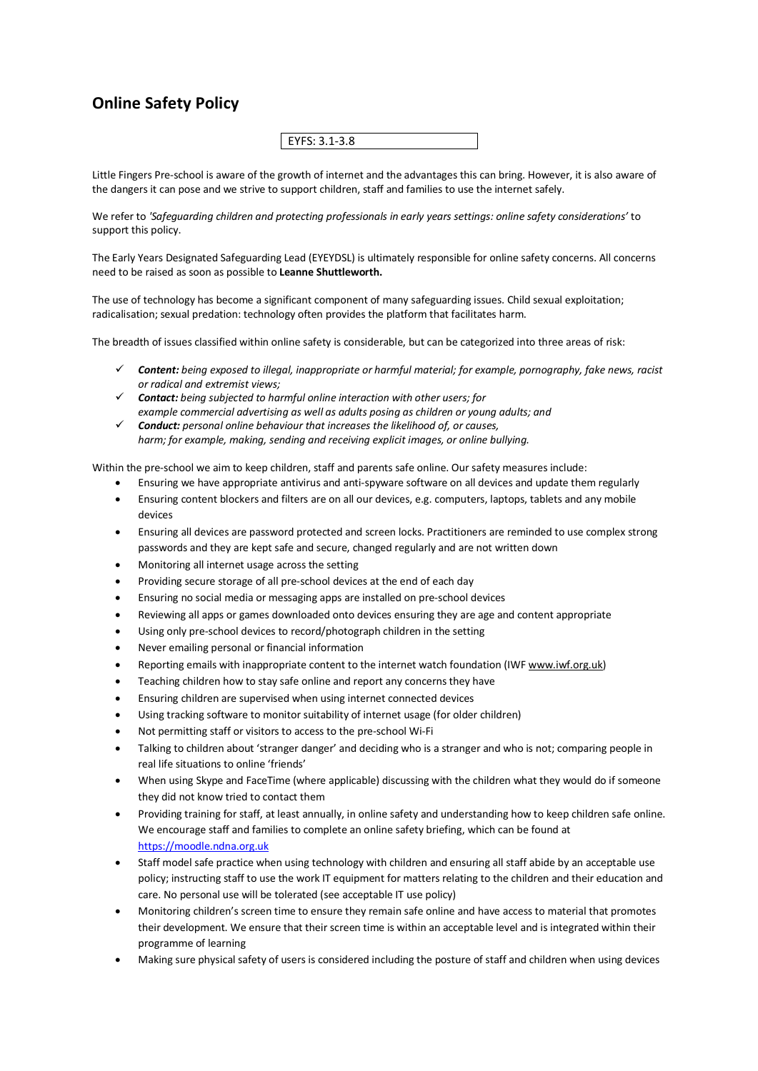## **Online Safety Policy**

EYFS: 3.1-3.8

Little Fingers Pre-school is aware of the growth of internet and the advantages this can bring. However, it is also aware of the dangers it can pose and we strive to support children, staff and families to use the internet safely.

We refer to *'Safeguarding children and protecting professionals in early years settings: online safety considerations'* to support this policy.

The Early Years Designated Safeguarding Lead (EYEYDSL) is ultimately responsible for online safety concerns. All concerns need to be raised as soon as possible to **Leanne Shuttleworth.**

The use of technology has become a significant component of many safeguarding issues. Child sexual exploitation; radicalisation; sexual predation: technology often provides the platform that facilitates harm.

The breadth of issues classified within online safety is considerable, but can be categorized into three areas of risk:

- ü *Content: being exposed to illegal, inappropriate or harmful material; for example, pornography, fake news, racist or radical and extremist views;*
- $\checkmark$  **Contact:** being subjected to harmful online interaction with other users; for *example commercial advertising as well as adults posing as children or young adults; and*
- ü *Conduct: personal online behaviour that increases the likelihood of, or causes, harm; for example, making, sending and receiving explicit images, or online bullying.*

Within the pre-school we aim to keep children, staff and parents safe online. Our safety measures include:

- Ensuring we have appropriate antivirus and anti-spyware software on all devices and update them regularly
- Ensuring content blockers and filters are on all our devices, e.g. computers, laptops, tablets and any mobile devices
- Ensuring all devices are password protected and screen locks. Practitioners are reminded to use complex strong passwords and they are kept safe and secure, changed regularly and are not written down
- Monitoring all internet usage across the setting
- Providing secure storage of all pre-school devices at the end of each day
- Ensuring no social media or messaging apps are installed on pre-school devices
- Reviewing all apps or games downloaded onto devices ensuring they are age and content appropriate
- Using only pre-school devices to record/photograph children in the setting
- Never emailing personal or financial information
- Reporting emails with inappropriate content to the internet watch foundation (IWF www.iwf.org.uk)
- Teaching children how to stay safe online and report any concerns they have
- Ensuring children are supervised when using internet connected devices
- Using tracking software to monitor suitability of internet usage (for older children)
- Not permitting staff or visitors to access to the pre-school Wi-Fi
- Talking to children about 'stranger danger' and deciding who is a stranger and who is not; comparing people in real life situations to online 'friends'
- When using Skype and FaceTime (where applicable) discussing with the children what they would do if someone they did not know tried to contact them
- Providing training for staff, at least annually, in online safety and understanding how to keep children safe online. We encourage staff and families to complete an online safety briefing, which can be found at https://moodle.ndna.org.uk
- Staff model safe practice when using technology with children and ensuring all staff abide by an acceptable use policy; instructing staff to use the work IT equipment for matters relating to the children and their education and care. No personal use will be tolerated (see acceptable IT use policy)
- Monitoring children's screen time to ensure they remain safe online and have access to material that promotes their development. We ensure that their screen time is within an acceptable level and is integrated within their programme of learning
- Making sure physical safety of users is considered including the posture of staff and children when using devices